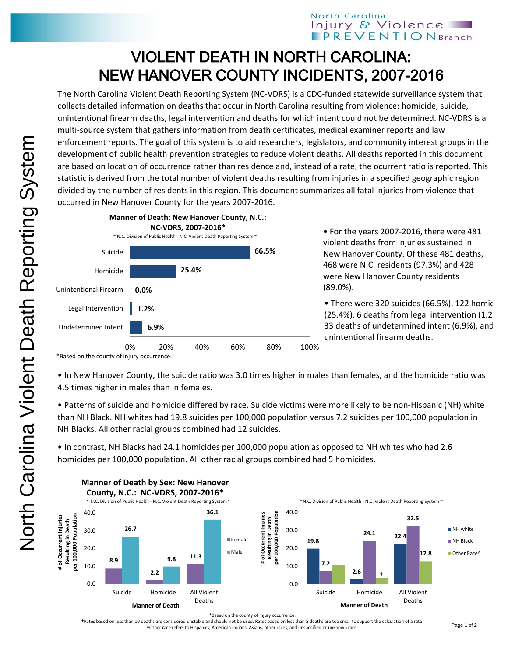## North Carolina Injury & Violence **PREVENTION** Branch

## VIOLENT DEATH IN NORTH CAROLINA: NEW HANOVER COUNTY INCIDENTS, 2007-2016

The North Carolina Violent Death Reporting System (NC-VDRS) is a CDC-funded statewide surveillance system that collects detailed information on deaths that occur in North Carolina resulting from violence: homicide, suicide, unintentional firearm deaths, legal intervention and deaths for which intent could not be determined. NC-VDRS is a multi-source system that gathers information from death certificates, medical examiner reports and law enforcement reports. The goal of this system is to aid researchers, legislators, and community interest groups in the development of public health prevention strategies to reduce violent deaths. All deaths reported in this document are based on location of occurrence rather than residence and, instead of a rate, the ocurrent ratio is reported. This statistic is derived from the total number of violent deaths resulting from injuries in a specified geographic region divided by the number of residents in this region. This document summarizes all fatal injuries from violence that occurred in New Hanover County for the years 2007-2016.



• For the years 2007-2016, there were 481 violent deaths from injuries sustained in New Hanover County. Of these 481 deaths, 468 were N.C. residents (97.3%) and 428 were New Hanover County residents (89.0%).

• There were 320 suicides (66.5%), 122 homic  $(25.4%)$ , 6 deaths from legal intervention  $(1.2)$ 33 deaths of undetermined intent (6.9%), and 0 unintentional firearm deaths.

\*Based on the county of injury occurrence.

• In New Hanover County, the suicide ratio was 3.0 times higher in males than females, and the homicide ratio was 4.5 times higher in males than in females.

• Patterns of suicide and homicide differed by race. Suicide victims were more likely to be non-Hispanic (NH) white than NH Black. NH whites had 19.8 suicides per 100,000 population versus 7.2 suicides per 100,000 population in NH Blacks. All other racial groups combined had 12 suicides.

• In contrast, NH Blacks had 24.1 homicides per 100,000 population as opposed to NH whites who had 2.6 homicides per 100,000 population. All other racial groups combined had 5 homicides.



\*Based on the county of injury occurrence.

†Rates based on less than 10 deaths are considered unstable and should not be used. Rates based on less than 5 deaths are too small to support the calculation of a rate. ^Other race refers to Hispanics, American Indians, Asians, other races, and unspecified or unknown race.